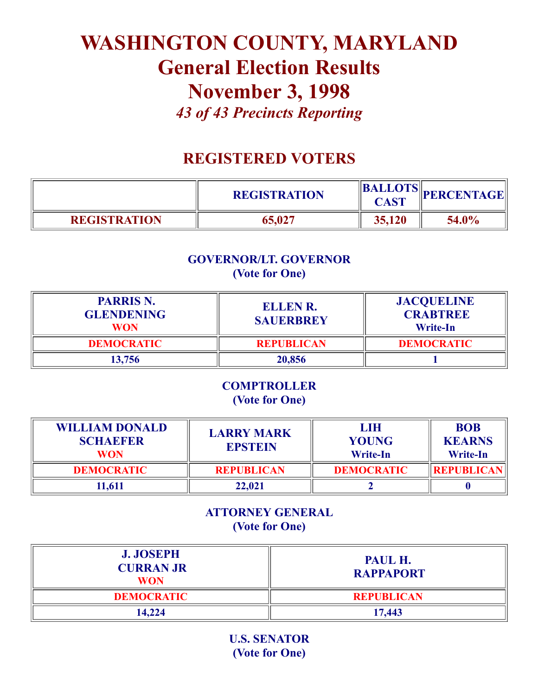# WASHINGTON COUNTY, MARYLAND General Election Results November 3, 1998 *43 of 43 Precincts Reporting*

# REGISTERED VOTERS

|                     | <b>REGISTRATION</b> | CAST   | <b>BALLOTS</b> PERCENTAGE |
|---------------------|---------------------|--------|---------------------------|
| <b>REGISTRATION</b> | 65,027              | 35,120 | 54.0%                     |

# GOVERNOR/LT. GOVERNOR (Vote for One)

| <b>PARRIS N.</b><br><b>GLENDENING</b><br>WON | <b>ELLEN R.</b><br><b>SAUERBREY</b> | <b>JACQUELINE</b><br><b>CRABTREE</b><br><b>Write-In</b> |
|----------------------------------------------|-------------------------------------|---------------------------------------------------------|
| <b>DEMOCRATIC</b>                            | <b>REPUBLICAN</b>                   | <b>DEMOCRATIC</b>                                       |
| 13.756                                       | 20,856                              |                                                         |

#### **COMPTROLLER** (Vote for One)

| <b>WILLIAM DONALD</b><br><b>SCHAEFER</b><br><b>WON</b> | <b>LARRY MARK</b><br><b>EPSTEIN</b> | LIH<br><b>YOUNG</b><br><b>Write-In</b> | <b>BOB</b><br><b>KEARNS</b><br><b>Write-In</b> |
|--------------------------------------------------------|-------------------------------------|----------------------------------------|------------------------------------------------|
| <b>DEMOCRATIC</b>                                      | <b>REPUBLICAN</b>                   | <b>DEMOCRATIC</b>                      | <b>REPUBLICAN</b>                              |
| 1.611                                                  | 22,021                              |                                        |                                                |

# ATTORNEY GENERAL (Vote for One)

| <b>J. JOSEPH</b><br><b>CURRAN JR</b><br><b>WON</b> | PAUL H.<br><b>RAPPAPORT</b> |
|----------------------------------------------------|-----------------------------|
| <b>DEMOCRATIC</b>                                  | <b>REPUBLICAN</b>           |
| 14,224                                             | 17,443                      |

U.S. SENATOR (Vote for One)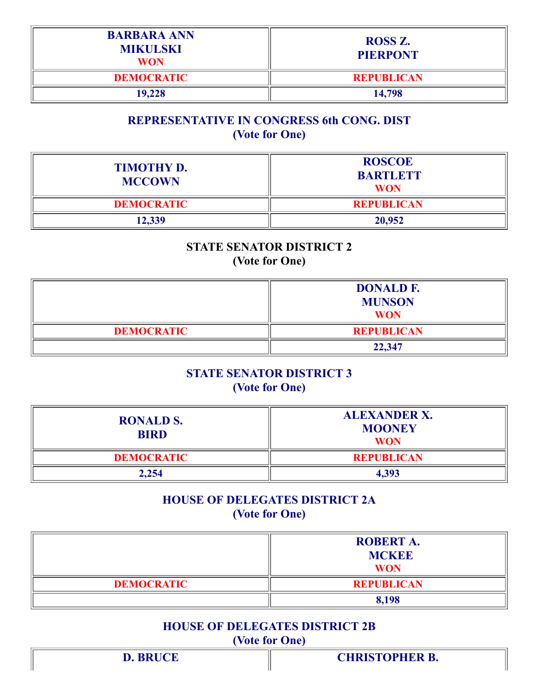| <b>BARBARA ANN</b><br><b>MIKULSKI</b><br><b>WON</b> | <b>ROSS Z.</b><br><b>PIERPONT</b> |
|-----------------------------------------------------|-----------------------------------|
| <b>DEMOCRATIC</b>                                   | <b>REPUBLICAN</b>                 |
| 19,228                                              | 14,798                            |

#### REPRESENTATIVE IN CONGRESS 6th CONG. DIST (Vote for One)

| <b>TIMOTHY D.</b><br><b>MCCOWN</b> | <b>ROSCOE</b><br><b>BARTLETT</b><br><b>WON</b> |
|------------------------------------|------------------------------------------------|
| <b>DEMOCRATIC</b>                  | <b>REPUBLICAN</b>                              |
| 12,339                             | 20,952                                         |

#### STATE SENATOR DISTRICT 2 (Vote for One)

|                   | <b>DONALD F.</b><br><b>MUNSON</b><br><b>WON</b> |
|-------------------|-------------------------------------------------|
| <b>DEMOCRATIC</b> | <b>REPUBLICAN</b>                               |
|                   | 22,347                                          |

#### STATE SENATOR DISTRICT 3 (Vote for One)

| <b>RONALD S.</b><br><b>BIRD</b> | <b>ALEXANDER X.</b><br><b>MOONEY</b><br><b>WON</b> |
|---------------------------------|----------------------------------------------------|
| <b>DEMOCRATIC</b>               | <b>REPUBLICAN</b>                                  |
| 2,254                           | 4,393                                              |

# HOUSE OF DELEGATES DISTRICT 2A (Vote for One)

|                   | <b>ROBERT A.</b><br><b>MCKEE</b><br><b>WON</b> |
|-------------------|------------------------------------------------|
| <b>DEMOCRATIC</b> | <b>REPUBLICAN</b>                              |
|                   | 8,198                                          |

# HOUSE OF DELEGATES DISTRICT 2B (Vote for One)

| <b>D. BRUCE</b> | <b>CHRISTOPHER B.</b> |
|-----------------|-----------------------|
|                 |                       |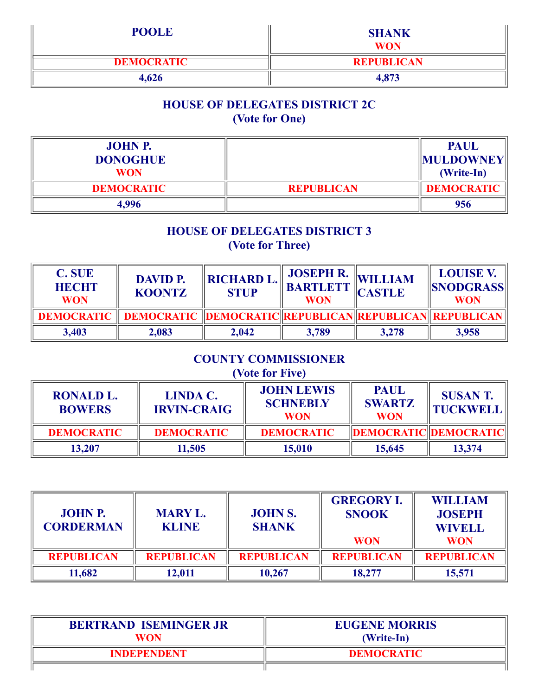| <b>POOLE</b>      | <b>SHANK</b><br><b>WON</b> |
|-------------------|----------------------------|
| <b>DEMOCRATIC</b> | <b>REPUBLICAN</b>          |
| 4,626             | 4,873                      |

# HOUSE OF DELEGATES DISTRICT 2C (Vote for One)

| <b>JOHN P.</b><br><b>DONOGHUE</b> |                   | <b>PAUL</b><br><b>MULDOWNEY</b> |
|-----------------------------------|-------------------|---------------------------------|
| <b>WON</b>                        |                   | (Write-In)                      |
| <b>DEMOCRATIC</b>                 | <b>REPUBLICAN</b> | <b>DEMOCRATIC</b>               |
| 4,996                             |                   | 956                             |

#### HOUSE OF DELEGATES DISTRICT 3 (Vote for Three)

| <b>C. SUE</b><br><b>HECHT</b><br><b>WON</b> | <b>DAVID P.</b><br><b>KOONTZ</b>                                                     | <b>RICHARD L.</b><br><b>STUP</b> | <b>JOSEPH R.</b><br><b>BARTLETT</b><br><b>WON</b> | <b>WILLIAM</b><br>CASTLE | <b>LOUISE V.</b><br><b>SNODGRASS</b><br><b>WON</b> |
|---------------------------------------------|--------------------------------------------------------------------------------------|----------------------------------|---------------------------------------------------|--------------------------|----------------------------------------------------|
|                                             | <b>DEMOCRATIC    DEMOCRATIC   DEMOCRATIC   REPUBLICAN   REPUBLICAN    REPUBLICAN</b> |                                  |                                                   |                          |                                                    |
| 3,403                                       | 2,083                                                                                | 2,042                            | 3,789                                             | 3,278                    | 3,958                                              |

# COUNTY COMMISSIONER

# (Vote for Five)

| <b>RONALD L.</b><br><b>BOWERS</b> | <b>LINDA C.</b><br><b>IRVIN-CRAIG</b> | <b>JOHN LEWIS</b><br><b>SCHNEBLY</b><br><b>WON</b> | <b>PAUL</b><br><b>SWARTZ</b><br><b>WON</b> | <b>SUSANT.</b><br><b>TUCKWELL</b> |
|-----------------------------------|---------------------------------------|----------------------------------------------------|--------------------------------------------|-----------------------------------|
| <b>DEMOCRATIC</b>                 | <b>DEMOCRATIC</b>                     | <b>DEMOCRATIC</b>                                  | <b>DEMOCRATIC DEMOCRATIC</b>               |                                   |
| 13,207                            | 11,505                                | 15,010                                             | 15,645                                     | 13,374                            |

| <b>JOHN P.</b><br><b>CORDERMAN</b> | <b>MARY L.</b><br><b>KLINE</b> | <b>JOHN S.</b><br><b>SHANK</b> | <b>GREGORY I.</b><br><b>SNOOK</b><br><b>WON</b> | <b>WILLIAM</b><br><b>JOSEPH</b><br><b>WIVELL</b><br><b>WON</b> |
|------------------------------------|--------------------------------|--------------------------------|-------------------------------------------------|----------------------------------------------------------------|
| <b>REPUBLICAN</b>                  | <b>REPUBLICAN</b>              | <b>REPUBLICAN</b>              | <b>REPUBLICAN</b>                               | <b>REPUBLICAN</b>                                              |
| 11,682                             | 12,011                         | 10,267                         | 18,277                                          | 15,571                                                         |

| <b>BERTRAND ISEMINGER JR</b><br>WON | <b>EUGENE MORRIS</b><br>(Write-In) |  |
|-------------------------------------|------------------------------------|--|
| INDEPENDENT                         | <b>DEMOCRATIC</b>                  |  |
|                                     |                                    |  |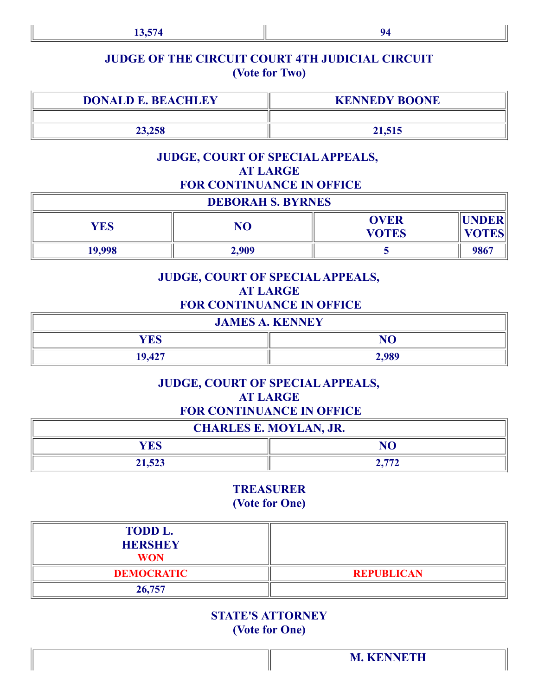# JUDGE OF THE CIRCUIT COURT 4TH JUDICIAL CIRCUIT (Vote for Two)

| <b>DONALD E. BEACHLEY</b> | <b>KENNEDY BOONE</b> |
|---------------------------|----------------------|
|                           |                      |
| 23,258                    | 21,515               |

#### JUDGE, COURT OF SPECIALAPPEALS, AT LARGE FOR CONTINUANCE IN OFFICE

| <b>DEBORAH S. BYRNES</b> |       |                             |                                  |  |
|--------------------------|-------|-----------------------------|----------------------------------|--|
| <b>YES</b>               | NO    | <b>OVER</b><br><b>VOTES</b> | <b>  UNDER  </b><br><b>VOTES</b> |  |
| 19,998                   | 2,909 |                             | 9867                             |  |

#### JUDGE, COURT OF SPECIALAPPEALS, AT LARGE FOR CONTINUANCE IN OFFICE

| <b>JAMES A. KENNEY</b> |       |  |
|------------------------|-------|--|
| YES                    | NO    |  |
| 19,427                 | 2,989 |  |

#### JUDGE, COURT OF SPECIALAPPEALS, AT LARGE FOR CONTINUANCE IN OFFICE

| <b>CHARLES E. MOYLAN, JR.</b> |     |  |
|-------------------------------|-----|--|
| YES<br>NC.                    |     |  |
| 21,523                        | --- |  |

#### TREASURER (Vote for One)

| <b>TODD L.</b><br><b>HERSHEY</b><br><b>WON</b> |                   |
|------------------------------------------------|-------------------|
| <b>DEMOCRATIC</b>                              | <b>REPUBLICAN</b> |
| 26,757                                         |                   |

# STATE'S ATTORNEY (Vote for One)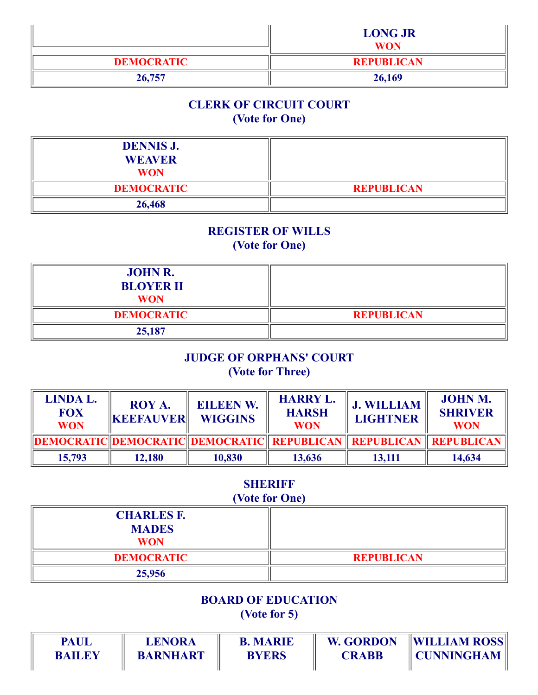|                   | <b>LONG JR</b><br><b>WON</b> |
|-------------------|------------------------------|
| <b>DEMOCRATIC</b> | <b>REPUBLICAN</b>            |
| 26,757            | 26,169                       |

# CLERK OF CIRCUIT COURT (Vote for One)

| <b>DENNIS J.</b><br><b>WEAVER</b><br><b>WON</b> |                   |
|-------------------------------------------------|-------------------|
| <b>DEMOCRATIC</b>                               | <b>REPUBLICAN</b> |
| 26,468                                          |                   |

# REGISTER OF WILLS

(Vote for One)

| <b>JOHN R.</b><br><b>BLOYER II</b><br><b>WON</b> |                   |
|--------------------------------------------------|-------------------|
| <b>DEMOCRATIC</b>                                | <b>REPUBLICAN</b> |
| 25,187                                           |                   |

# JUDGE OF ORPHANS' COURT (Vote for Three)

| LINDA L.<br><b>FOX</b><br><b>WON</b> | <b>ROY A.</b><br><b>KEEFAUVER</b> | <b>EILEEN W.</b><br><b>WIGGINS</b>                                           | <b>HARRY L.</b><br><b>HARSH</b><br><b>WON</b> | <b>J. WILLIAM</b><br><b>LIGHTNER</b> | <b>JOHN M.</b><br><b>SHRIVER</b><br><b>WON</b> |
|--------------------------------------|-----------------------------------|------------------------------------------------------------------------------|-----------------------------------------------|--------------------------------------|------------------------------------------------|
|                                      |                                   | DEMOCRATIC  DEMOCRATIC  DEMOCRATIC    REPUBLICAN    REPUBLICAN    REPUBLICAN |                                               |                                      |                                                |
| 15,793                               | 12,180                            | 10,830                                                                       | 13,636                                        | 13,111                               | 14,634                                         |

# **SHERIFF**

# (Vote for One)

| <b>CHARLES F.</b><br><b>MADES</b><br><b>WON</b> |                   |
|-------------------------------------------------|-------------------|
| <b>DEMOCRATIC</b>                               | <b>REPUBLICAN</b> |
| 25,956                                          |                   |

#### BOARD OF EDUCATION

(Vote for 5)

| <b>PAUL</b>   | <b>LENORA</b>   | <b>B. MARIE</b> | <b>W. GORDON</b> | <b>WILLIAM ROSS</b> |
|---------------|-----------------|-----------------|------------------|---------------------|
| <b>BAILEY</b> | <b>BARNHART</b> | <b>BYERS</b>    | CRABB            | <b>CUNNINGHAM</b>   |